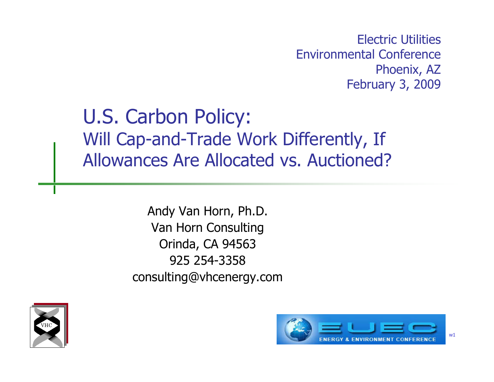Electric Utilities Environmental Conference Phoenix, AZ February 3, 2009

U.S. Carbon Policy: Will Cap-and-Trade Work Differently, If Allowances Are Allocated vs. Auctioned?

> Andy Van Horn, Ph.D. Van Horn Consulting Orinda, CA 94563 925 254-3358 consulting@vhcenergy.com





w1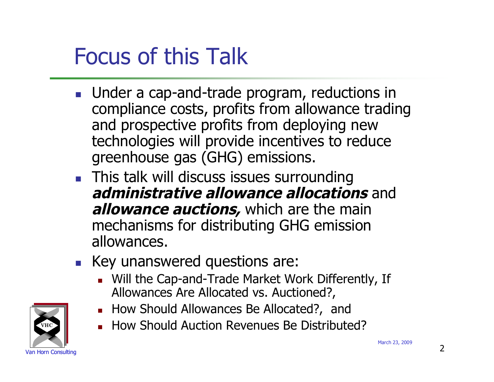# Focus of this Talk

- **Under a cap-and-trade program, reductions in** compliance costs, profits from allowance trading and prospective profits from deploying new technologies will provide incentives to reduce greenhouse gas (GHG) emissions.
- **This talk will discuss issues surrounding administrative allowance allocations** and **allowance auctions,** which are the main mechanisms for distributing GHG emission allowances.
- Key unanswered questions are:
	- Will the Cap-and-Trade Market Work Differently, If Allowances Are Allocated vs. Auctioned?,
	- How Should Allowances Be Allocated?, and
	- **How Should Auction Revenues Be Distributed?**

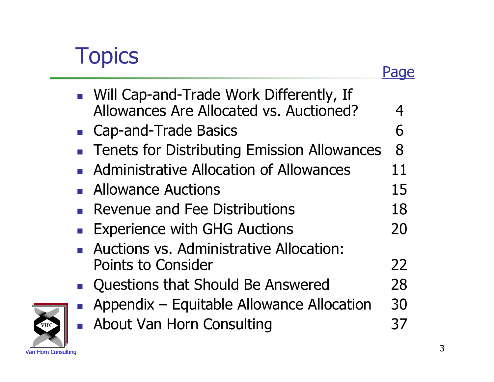# Topics

|                             | • Will Cap-and-Trade Work Differently, If<br>Allowances Are Allocated vs. Auctioned? |    |
|-----------------------------|--------------------------------------------------------------------------------------|----|
|                             |                                                                                      |    |
|                             | • Cap-and-Trade Basics                                                               | 6  |
| $\mathcal{L}_{\mathcal{A}}$ | <b>Tenets for Distributing Emission Allowances</b>                                   | 8  |
|                             | Administrative Allocation of Allowances                                              | 11 |
| n.                          | <b>Allowance Auctions</b>                                                            | 15 |
|                             | Revenue and Fee Distributions                                                        | 18 |
|                             | <b>Experience with GHG Auctions</b>                                                  | 20 |
|                             | • Auctions vs. Administrative Allocation:                                            |    |
|                             | Points to Consider                                                                   | 22 |
|                             | Questions that Should Be Answered                                                    | 28 |
|                             | Appendix - Equitable Allowance Allocation                                            | 30 |
|                             | About Van Horn Consulting                                                            |    |
|                             |                                                                                      |    |

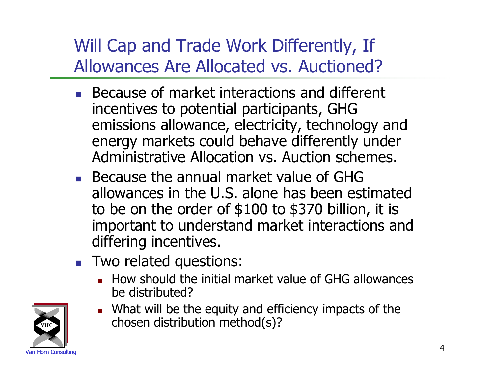#### Will Cap and Trade Work Differently, If Allowances Are Allocated vs. Auctioned?

- **Because of market interactions and different** incentives to potential participants, GHG emissions allowance, electricity, technology and energy markets could behave differently under Administrative Allocation vs. Auction schemes.
- Because the annual market value of GHG allowances in the U.S. alone has been estimated to be on the order of \$100 to \$370 billion, it is important to understand market interactions and differing incentives.
- **Two related questions:** 
	- **How should the initial market value of GHG allowances** be distributed?



**No.** What will be the equity and efficiency impacts of the chosen distribution method(s)?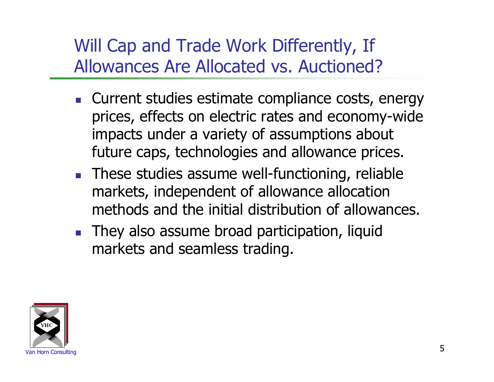Will Cap and Trade Work Differently, If Allowances Are Allocated vs. Auctioned?

- **Current studies estimate compliance costs, energy** prices, effects on electric rates and economy-wide impacts under a variety of assumptions about future caps, technologies and allowance prices.
- **These studies assume well-functioning, reliable** markets, independent of allowance allocation methods and the initial distribution of allowances.
- **They also assume broad participation, liquid** markets and seamless trading.

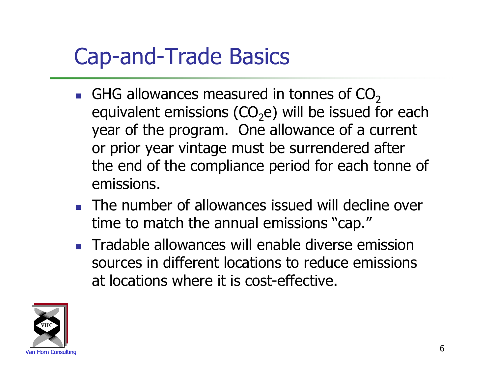# Cap-and-Trade Basics

- GHG allowances measured in tonnes of  $CO<sub>2</sub>$ equivalent emissions  $(CO<sub>2</sub>e)$  will be issued for each year of the program. One allowance of a current or prior year vintage must be surrendered after the end of the compliance period for each tonne of emissions.
- **The number of allowances issued will decline over** time to match the annual emissions "cap."
- **Tradable allowances will enable diverse emission** sources in different locations to reduce emissions at locations where it is cost-effective.

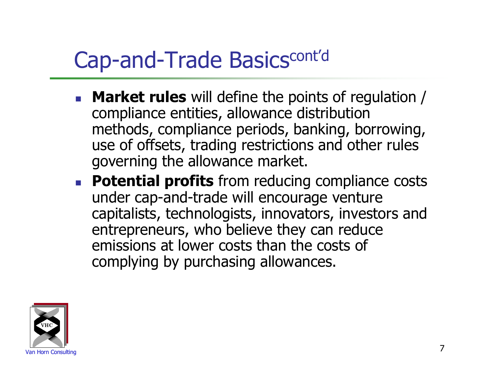# Cap-and-Trade Basicscont'd

- **Market rules** will define the points of regulation / compliance entities, allowance distribution methods, compliance periods, banking, borrowing, use of offsets, trading restrictions and other rules governing the allowance market.
- **Potential profits** from reducing compliance costs under cap-and-trade will encourage venture capitalists, technologists, innovators, investors and entrepreneurs, who believe they can reduce emissions at lower costs than the costs of complying by purchasing allowances.

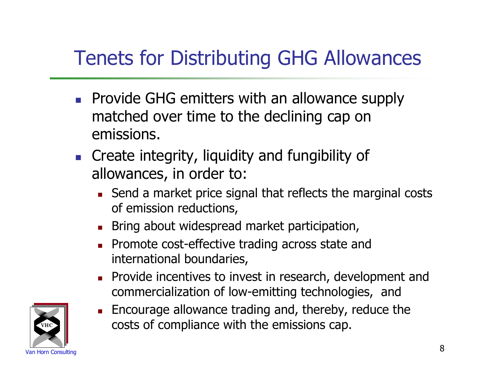#### Tenets for Distributing GHG Allowances

- **Provide GHG emitters with an allowance supply** matched over time to the declining cap on emissions.
- **Example 2** Create integrity, liquidity and fungibility of allowances, in order to:
	- Send a market price signal that reflects the marginal costs of emission reductions,
	- Bring about widespread market participation,
	- **Promote cost-effective trading across state and** international boundaries,
	- **Provide incentives to invest in research, development and** commercialization of low-emitting technologies, and
	- Encourage allowance trading and, thereby, reduce the costs of compliance with the emissions cap.

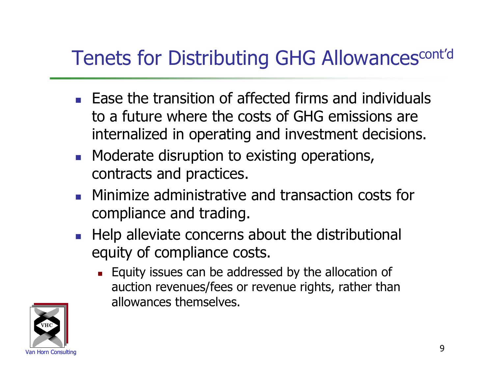#### Tenets for Distributing GHG Allowances<sup>cont'd</sup>

- **Ease the transition of affected firms and individuals** to a future where the costs of GHG emissions are internalized in operating and investment decisions.
- **Moderate disruption to existing operations,** contracts and practices.
- **Minimize administrative and transaction costs for** compliance and trading.
- $\blacksquare$  Help alleviate concerns about the distributional equity of compliance costs.
	- Equity issues can be addressed by the allocation of auction revenues/fees or revenue rights, rather than allowances themselves.

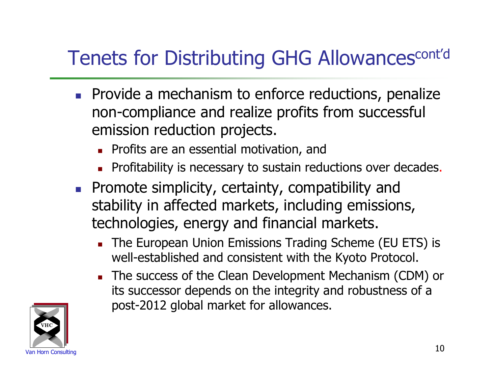#### Tenets for Distributing GHG Allowances<sup>cont'd</sup>

- **Provide a mechanism to enforce reductions, penalize** non-compliance and realize profits from successful emission reduction projects.
	- **Profits are an essential motivation, and**
	- Profitability is necessary to sustain reductions over decades.
- **Promote simplicity, certainty, compatibility and** stability in affected markets, including emissions, technologies, energy and financial markets.
	- The European Union Emissions Trading Scheme (EU ETS) is well-established and consistent with the Kyoto Protocol.
	- The success of the Clean Development Mechanism (CDM) or its successor depends on the integrity and robustness of a post-2012 global market for allowances.

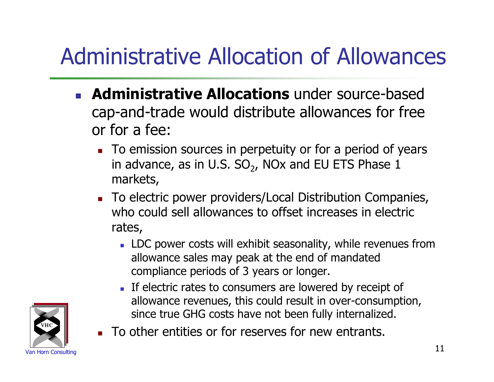# Administrative Allocation of Allowances

- **Administrative Allocations** under source-based cap-and-trade would distribute allowances for free or for a fee:
	- To emission sources in perpetuity or for a period of years in advance, as in U.S. SO<sub>2</sub>, NOx and EU ETS Phase 1 markets,
	- To electric power providers/Local Distribution Companies, who could sell allowances to offset increases in electric rates,
		- **LDC** power costs will exhibit seasonality, while revenues from allowance sales may peak at the end of mandated compliance periods of 3 years or longer.
		- If electric rates to consumers are lowered by receipt of allowance revenues, this could result in over-consumption, since true GHG costs have not been fully internalized.
	- **To other entities or for reserves for new entrants.**

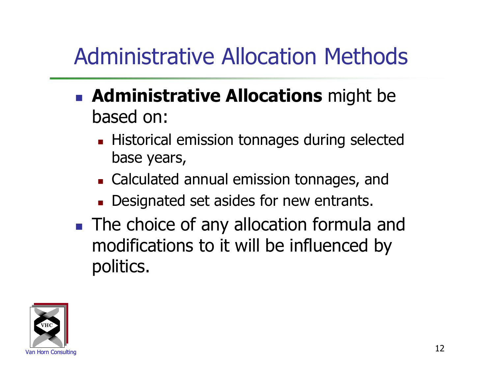# Administrative Allocation Methods

- **Administrative Allocations** might be based on:
	- **Historical emission tonnages during selected** base years,
	- **Example 2** Calculated annual emission tonnages, and
	- Designated set asides for new entrants.
- **The choice of any allocation formula and** modifications to it will be influenced by politics.

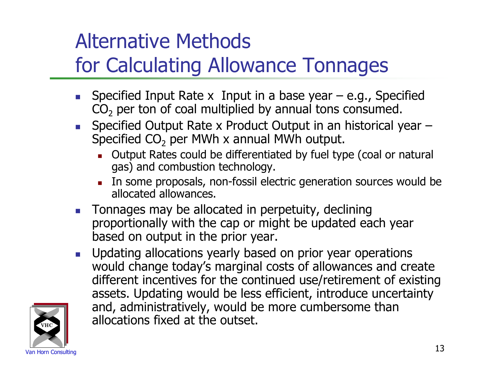# Alternative Methods

#### for Calculating Allowance Tonnages

- Specified Input Rate x Input in a base year  $-$  e.g., Specified  $CO<sub>2</sub>$  per ton of coal multiplied by annual tons consumed.
- Specified Output Rate x Product Output in an historical year  $-$ Specified  $CO<sub>2</sub>$  per MWh x annual MWh output.
	- Output Rates could be differentiated by fuel type (coal or natural gas) and combustion technology.
	- **In some proposals, non-fossil electric generation sources would be** allocated allowances.
- **Tonnages may be allocated in perpetuity, declining** proportionally with the cap or might be updated each year based on output in the prior year.
- **Updating allocations yearly based on prior year operations** would change today's marginal costs of allowances and create different incentives for the continued use/retirement of existing assets. Updating would be less efficient, introduce uncertainty and, administratively, would be more cumbersome than allocations fixed at the outset.

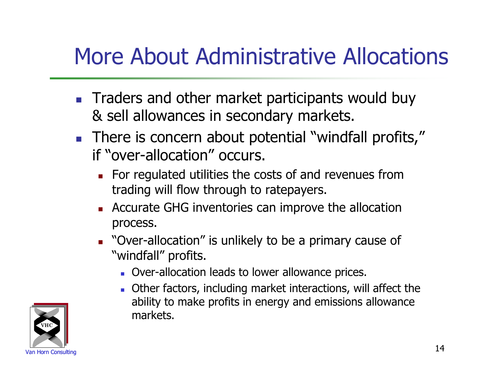### More About Administrative Allocations

- **Traders and other market participants would buy** & sell allowances in secondary markets.
- **There is concern about potential "windfall profits,"** if "over-allocation" occurs.
	- For regulated utilities the costs of and revenues from trading will flow through to ratepayers.
	- **EXECUTE:** Accurate GHG inventories can improve the allocation process.
	- **Deta Theorm 10 To 10 Sep 2018** To be a primary cause of "windfall" profits.
		- Over-allocation leads to lower allowance prices.
		- Other factors, including market interactions, will affect the ability to make profits in energy and emissions allowance markets.

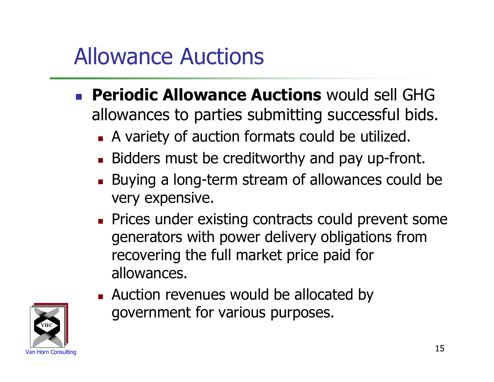### Allowance Auctions

- **Periodic Allowance Auctions** would sell GHG allowances to parties submitting successful bids.
	- A variety of auction formats could be utilized.
	- Bidders must be creditworthy and pay up-front.
	- **Buying a long-term stream of allowances could be** very expensive.
	- **Prices under existing contracts could prevent some** generators with power delivery obligations from recovering the full market price paid for allowances.
	- **Auction revenues would be allocated by** government for various purposes.

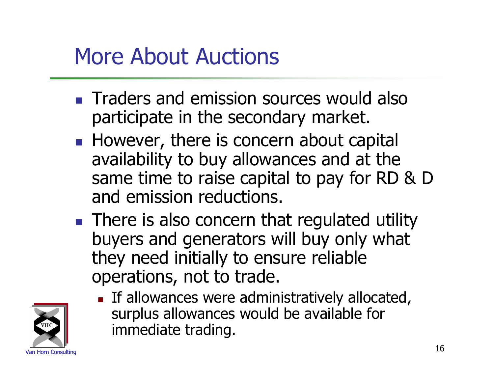### More About Auctions

- **Traders and emission sources would also** participate in the secondary market.
- However, there is concern about capital availability to buy allowances and at the same time to raise capital to pay for RD & D and emission reductions.
- **There is also concern that regulated utility** buyers and generators will buy only what they need initially to ensure reliable operations, not to trade.



If allowances were administratively allocated, surplus allowances would be available for immediate trading.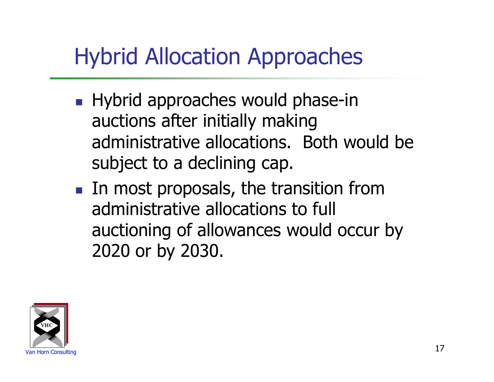## Hybrid Allocation Approaches

- **Hybrid approaches would phase-in** auctions after initially making administrative allocations. Both would be subject to a declining cap.
- **IF IN most proposals, the transition from** administrative allocations to full auctioning of allowances would occur by 2020 or by 2030.

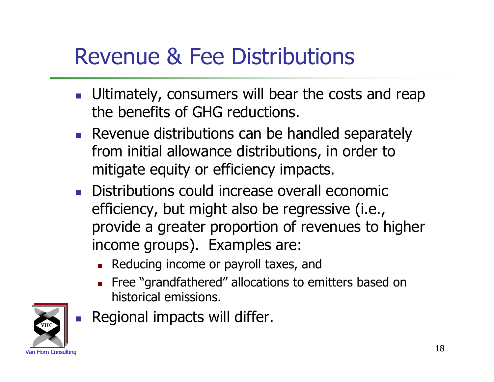## Revenue & Fee Distributions

- **Ultimately, consumers will bear the costs and reap** the benefits of GHG reductions.
- **Revenue distributions can be handled separately** from initial allowance distributions, in order to mitigate equity or efficiency impacts.
- Distributions could increase overall economic efficiency, but might also be regressive (i.e., provide a greater proportion of revenues to higher income groups). Examples are:
	- Reducing income or payroll taxes, and
	- Free "grandfathered" allocations to emitters based on historical emissions.



Regional impacts will differ.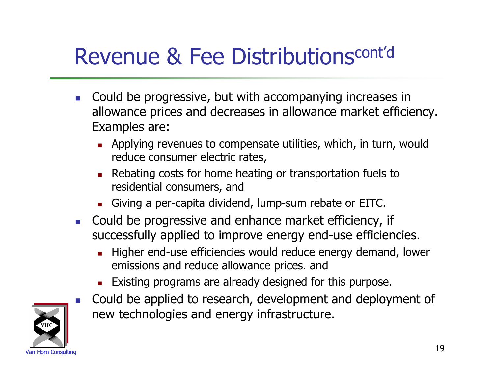# Revenue & Fee Distributionscont'd

- **Could be progressive, but with accompanying increases in** allowance prices and decreases in allowance market efficiency. Examples are:
	- Applying revenues to compensate utilities, which, in turn, would reduce consumer electric rates,
	- Rebating costs for home heating or transportation fuels to residential consumers, and
	- Giving a per-capita dividend, lump-sum rebate or EITC.
- **Could be progressive and enhance market efficiency, if** successfully applied to improve energy end-use efficiencies.
	- Higher end-use efficiencies would reduce energy demand, lower emissions and reduce allowance prices. and
	- Existing programs are already designed for this purpose.



**Could be applied to research, development and deployment of** new technologies and energy infrastructure.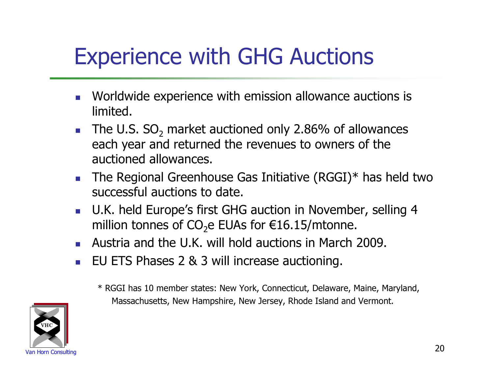### Experience with GHG Auctions

- **Norldwide experience with emission allowance auctions is** limited.
- The U.S.  $SO<sub>2</sub>$  market auctioned only 2.86% of allowances each year and returned the revenues to owners of the auctioned allowances.
- The Regional Greenhouse Gas Initiative (RGGI) $*$  has held two successful auctions to date.
- U.K. held Europe's first GHG auction in November, selling 4 million tonnes of  $CO<sub>2</sub>e$  EUAs for  $€16.15/$ mtonne.
- Austria and the U.K. will hold auctions in March 2009.
- **EU ETS Phases 2 & 3 will increase auctioning.**

\* RGGI has 10 member states: New York, Connecticut, Delaware, Maine, Maryland, Massachusetts, New Hampshire, New Jersey, Rhode Island and Vermont.

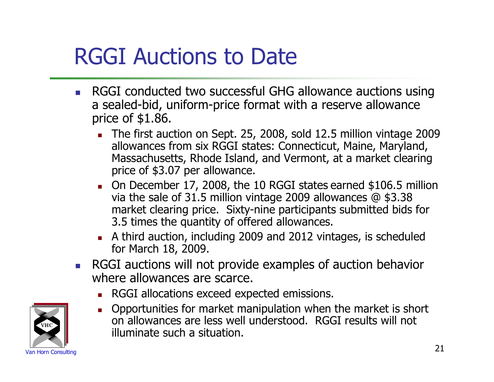### RGGI Auctions to Date

- **RGGI conducted two successful GHG allowance auctions using** a sealed-bid, uniform-price format with a reserve allowance price of \$1.86.
	- The first auction on Sept. 25, 2008, sold 12.5 million vintage 2009 allowances from six RGGI states: Connecticut, Maine, Maryland, Massachusetts, Rhode Island, and Vermont, at a market clearing price of \$3.07 per allowance.
	- On December 17, 2008, the 10 RGGI states earned \$106.5 million via the sale of 31.5 million vintage 2009 allowances @ \$3.38 market clearing price. Sixty-nine participants submitted bids for 3.5 times the quantity of offered allowances.
	- A third auction, including 2009 and 2012 vintages, is scheduled for March 18, 2009.
- **RGGI auctions will not provide examples of auction behavior** where allowances are scarce.
	- RGGI allocations exceed expected emissions.
	- Opportunities for market manipulation when the market is short on allowances are less well understood. RGGI results will not illuminate such a situation.

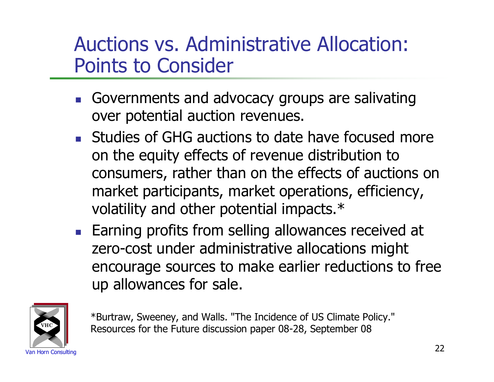#### Auctions vs. Administrative Allocation: Points to Consider

- Governments and advocacy groups are salivating over potential auction revenues.
- **Studies of GHG auctions to date have focused more** on the equity effects of revenue distribution to consumers, rather than on the effects of auctions on market participants, market operations, efficiency, volatility and other potential impacts.\*
- Earning profits from selling allowances received at zero-cost under administrative allocations might encourage sources to make earlier reductions to free up allowances for sale.



\*Burtraw, Sweeney, and Walls. "The Incidence of US Climate Policy." Resources for the Future discussion paper 08-28, September 08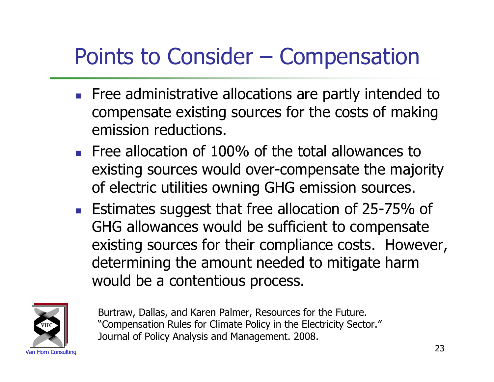### Points to Consider – Compensation

- **Figure 2** Free administrative allocations are partly intended to compensate existing sources for the costs of making emission reductions.
- $\blacksquare$  Free allocation of 100% of the total allowances to existing sources would over-compensate the majority of electric utilities owning GHG emission sources.
- Estimates suggest that free allocation of 25-75% of GHG allowances would be sufficient to compensate existing sources for their compliance costs. However, determining the amount needed to mitigate harm would be a contentious process.



Burtraw, Dallas, and Karen Palmer, Resources for the Future. "Compensation Rules for Climate Policy in the Electricity Sector." Journal of Policy Analysis and Management. 2008.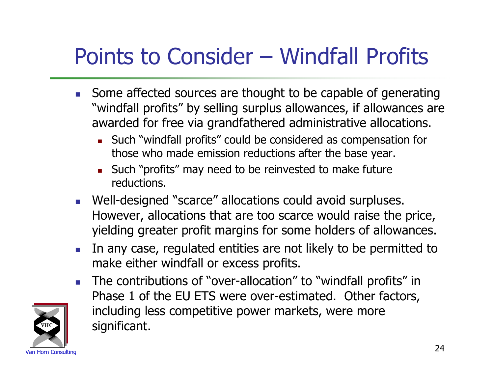### Points to Consider – Windfall Profits

- Some affected sources are thought to be capable of generating "windfall profits" by selling surplus allowances, if allowances are awarded for free via grandfathered administrative allocations.
	- Such "windfall profits" could be considered as compensation for those who made emission reductions after the base year.
	- Such "profits" may need to be reinvested to make future reductions.
- Well-designed "scarce" allocations could avoid surpluses. However, allocations that are too scarce would raise the price, yielding greater profit margins for some holders of allowances.
- In any case, regulated entities are not likely to be permitted to make either windfall or excess profits.
- The contributions of "over-allocation" to "windfall profits" in Phase 1 of the EU ETS were over-estimated. Other factors, including less competitive power markets, were more significant.

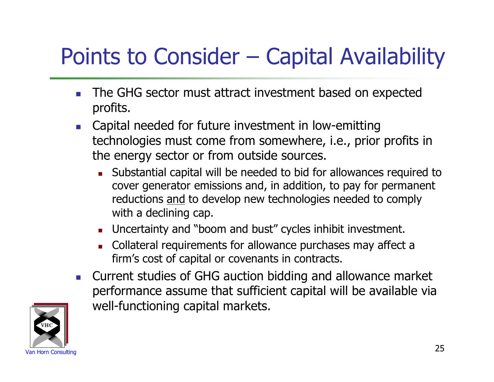# Points to Consider – Capital Availability

- **The GHG sector must attract investment based on expected** profits.
- **EXEC** Capital needed for future investment in low-emitting technologies must come from somewhere, i.e., prior profits in the energy sector or from outside sources.
	- Substantial capital will be needed to bid for allowances required to cover generator emissions and, in addition, to pay for permanent reductions and to develop new technologies needed to comply with a declining cap.
	- Uncertainty and "boom and bust" cycles inhibit investment.
	- Collateral requirements for allowance purchases may affect a firm's cost of capital or covenants in contracts.
- Current studies of GHG auction bidding and allowance market performance assume that sufficient capital will be available via well-functioning capital markets.

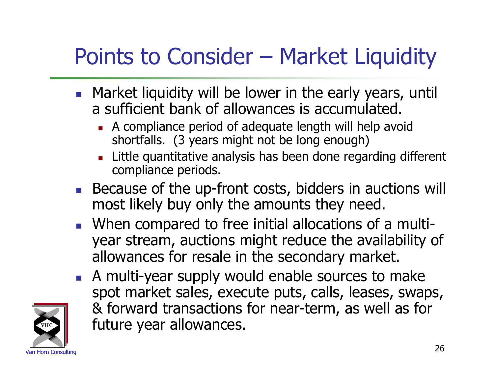# Points to Consider – Market Liquidity

- **Market liquidity will be lower in the early years, untill** a sufficient bank of allowances is accumulated.
	- A compliance period of adequate length will help avoid shortfalls. (3 years might not be long enough)
	- Little quantitative analysis has been done regarding different compliance periods.
- **Because of the up-front costs, bidders in auctions will** most likely buy only the amounts they need.
- When compared to free initial allocations of a multiyear stream, auctions might reduce the availability of allowances for resale in the secondary market.
- A multi-year supply would enable sources to make spot market sales, execute puts, calls, leases, swaps, & forward transactions for near-term, as well as for future year allowances.

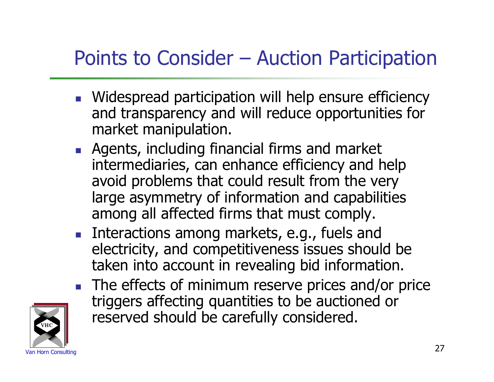#### Points to Consider – Auction Participation

- **Nidespread participation will help ensure efficiency** and transparency and will reduce opportunities for market manipulation.
- **Agents, including financial firms and market** intermediaries, can enhance efficiency and help avoid problems that could result from the very large asymmetry of information and capabilities among all affected firms that must comply.
- **Interactions among markets, e.g., fuels and** electricity, and competitiveness issues should be taken into account in revealing bid information.
- The effects of minimum reserve prices and/or price triggers affecting quantities to be auctioned or reserved should be carefully considered.

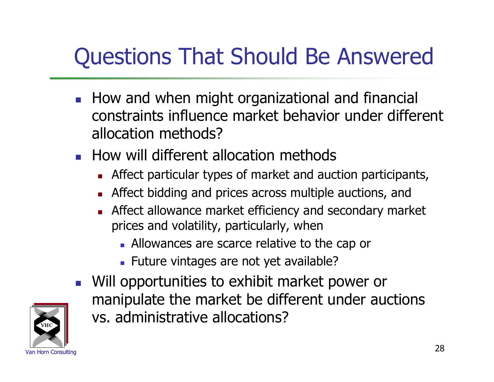# Questions That Should Be Answered

- **How and when might organizational and financial** constraints influence market behavior under different allocation methods?
- **How will different allocation methods** 
	- Affect particular types of market and auction participants,
	- Affect bidding and prices across multiple auctions, and
	- Affect allowance market efficiency and secondary market prices and volatility, particularly, when
		- **Allowances are scarce relative to the cap or**
		- **Future vintages are not yet available?**
- **Nill opportunities to exhibit market power or** manipulate the market be different under auctions vs. administrative allocations?

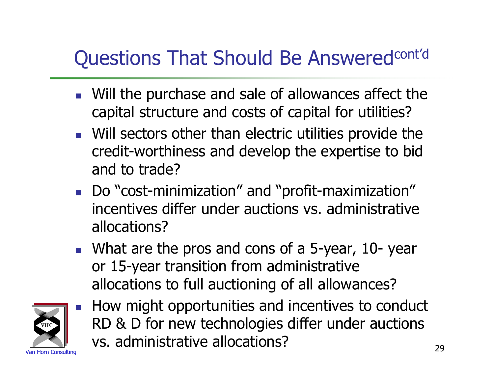#### Questions That Should Be Answeredcont'd

- Will the purchase and sale of allowances affect the capital structure and costs of capital for utilities?
- Will sectors other than electric utilities provide the credit-worthiness and develop the expertise to bid and to trade?
- Do "cost-minimization" and "profit-maximization" incentives differ under auctions vs. administrative allocations?
- What are the pros and cons of a 5-year, 10-year or 15-year transition from administrative allocations to full auctioning of all allowances?



 $\overline{29}$  volume  $\overline{29}$  and  $\overline{29}$   $\overline{29}$  How might opportunities and incentives to conduct RD & D for new technologies differ under auctions vs. administrative allocations?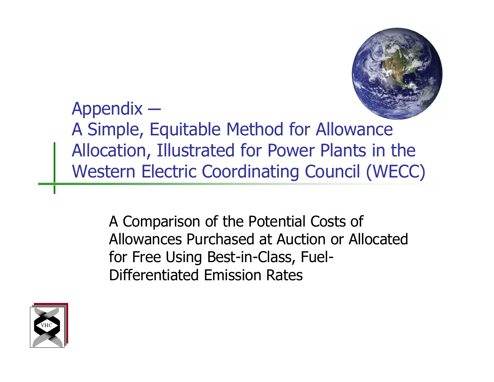

Appendix ─ A Simple, Equitable Method for Allowance Allocation, Illustrated for Power Plants in the Western Electric Coordinating Council (WECC)

> A Comparison of the Potential Costs of Allowances Purchased at Auction or Allocated for Free Using Best-in-Class, Fuel-Differentiated Emission Rates

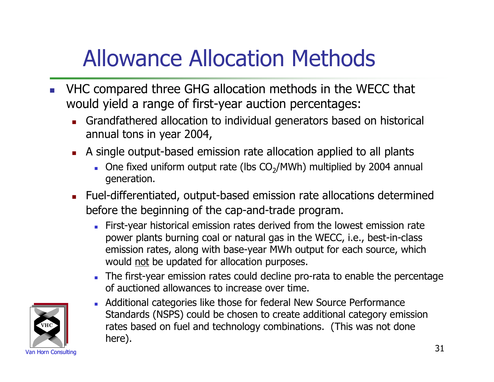## Allowance Allocation Methods

- VHC compared three GHG allocation methods in the WECC that would yield a range of first-year auction percentages:
	- Grandfathered allocation to individual generators based on historical annual tons in year 2004,
	- A single output-based emission rate allocation applied to all plants
		- **One fixed uniform output rate (lbs CO<sub>2</sub>/MWh) multiplied by 2004 annual** generation.
	- Fuel-differentiated, output-based emission rate allocations determined before the beginning of the cap-and-trade program.
		- First-year historical emission rates derived from the lowest emission rate power plants burning coal or natural gas in the WECC, i.e., best-in-class emission rates, along with base-year MWh output for each source, which would not be updated for allocation purposes.
		- The first-year emission rates could decline pro-rata to enable the percentage of auctioned allowances to increase over time.



 Additional categories like those for federal New Source Performance Standards (NSPS) could be chosen to create additional category emission rates based on fuel and technology combinations. (This was not done here).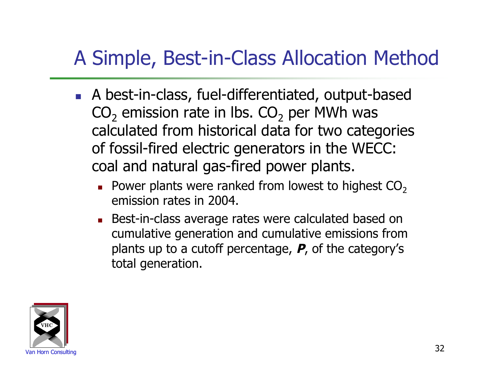#### A Simple, Best-in-Class Allocation Method

- A best-in-class, fuel-differentiated, output-based  $CO<sub>2</sub>$  emission rate in lbs.  $CO<sub>2</sub>$  per MWh was calculated from historical data for two categories of fossil-fired electric generators in the WECC: coal and natural gas-fired power plants.
	- Power plants were ranked from lowest to highest  $CO<sub>2</sub>$ emission rates in 2004.
	- Best-in-class average rates were calculated based on cumulative generation and cumulative emissions from plants up to a cutoff percentage, **P**, of the category's total generation.

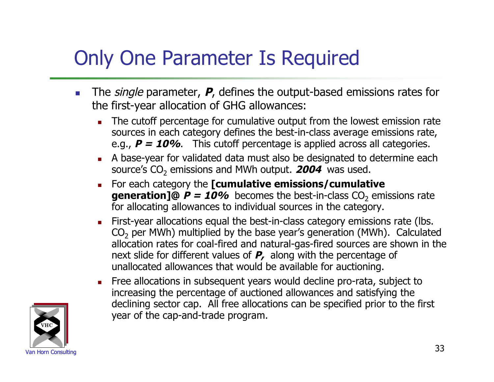#### Only One Parameter Is Required

- The *single* parameter, **P**, defines the output-based emissions rates for the first-year allocation of GHG allowances:
	- The cutoff percentage for cumulative output from the lowest emission rate sources in each category defines the best-in-class average emissions rate, e.g.,  $P = 10\%$ . This cutoff percentage is applied across all categories.
	- A base-year for validated data must also be designated to determine each source's CO<sub>2</sub> emissions and MWh output. **2004** was used.
	- For each category the **[cumulative emissions/cumulative generation]@**  $P = 10\%$  becomes the best-in-class CO<sub>2</sub> emissions rate for allocating allowances to individual sources in the category.
	- First-year allocations equal the best-in-class category emissions rate (lbs.  $CO<sub>2</sub>$  per MWh) multiplied by the base year's generation (MWh). Calculated allocation rates for coal-fired and natural-gas-fired sources are shown in the next slide for different values of **P,** along with the percentage of unallocated allowances that would be available for auctioning.
	- Free allocations in subsequent years would decline pro-rata, subject to increasing the percentage of auctioned allowances and satisfying the declining sector cap. All free allocations can be specified prior to the first year of the cap-and-trade program.

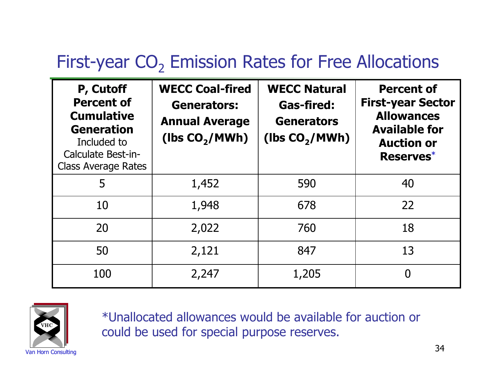#### First-year  $CO<sub>2</sub>$  Emission Rates for Free Allocations

| P, Cutoff<br><b>Percent of</b><br><b>Cumulative</b><br><b>Generation</b><br>Included to<br><b>Calculate Best-in-</b><br><b>Class Average Rates</b> | <b>WECC Coal-fired</b><br><b>Generators:</b><br><b>Annual Average</b><br>(lbs $CO2/MWh$ ) | <b>WECC Natural</b><br><b>Gas-fired:</b><br><b>Generators</b><br>(lbs $CO2/MWh$ ) | <b>Percent of</b><br><b>First-year Sector</b><br><b>Allowances</b><br><b>Available for</b><br><b>Auction or</b><br>Reserves* |
|----------------------------------------------------------------------------------------------------------------------------------------------------|-------------------------------------------------------------------------------------------|-----------------------------------------------------------------------------------|------------------------------------------------------------------------------------------------------------------------------|
| 5                                                                                                                                                  | 1,452                                                                                     | 590                                                                               | 40                                                                                                                           |
| 10                                                                                                                                                 | 1,948                                                                                     | 678                                                                               | 22                                                                                                                           |
| 20                                                                                                                                                 | 2,022                                                                                     | 760                                                                               | 18                                                                                                                           |
| 50                                                                                                                                                 | 2,121                                                                                     | 847                                                                               | 13                                                                                                                           |
| 100                                                                                                                                                | 2,247                                                                                     | 1,205                                                                             | 0                                                                                                                            |



\*Unallocated allowances would be available for auction or could be used for special purpose reserves.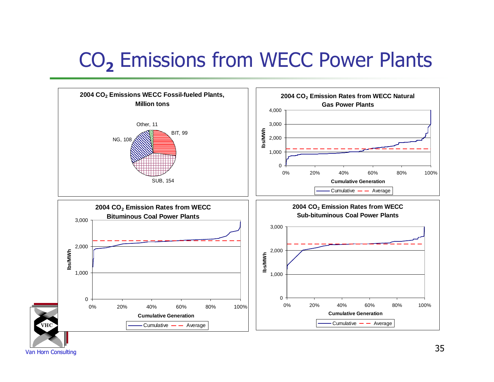#### CO**<sup>2</sup>** Emissions from WECC Power Plants

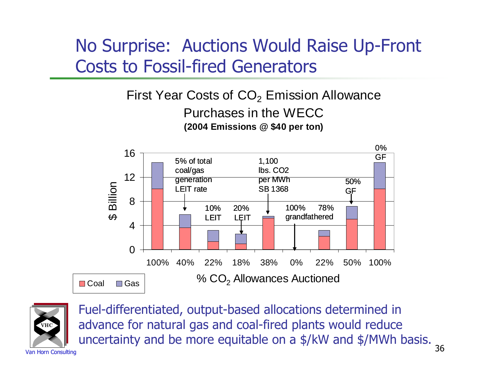#### No Surprise: Auctions Would Raise Up-Front Costs to Fossil-fired Generators

First Year Costs of  $CO<sub>2</sub>$  Emission Allowance Purchases in the WECC **(2004 Emissions @ \$40 per ton)**





36 Van Horn Consulting Fuel-differentiated, output-based allocations determined in advance for natural gas and coal-fired plants would reduce uncertainty and be more equitable on a \$/kW and \$/MWh basis.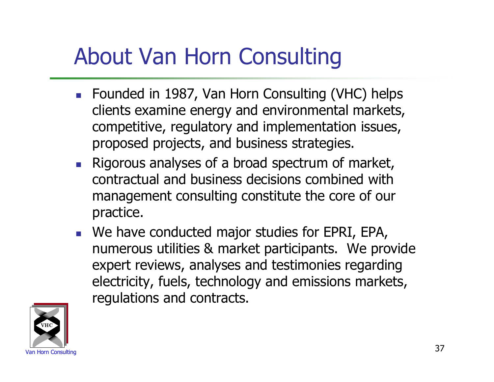# About Van Horn Consulting

- Founded in 1987, Van Horn Consulting (VHC) helps clients examine energy and environmental markets, competitive, regulatory and implementation issues, proposed projects, and business strategies.
- **Rigorous analyses of a broad spectrum of market,** contractual and business decisions combined with management consulting constitute the core of our practice.
- We have conducted major studies for EPRI, EPA, numerous utilities & market participants. We provide expert reviews, analyses and testimonies regarding electricity, fuels, technology and emissions markets, regulations and contracts.

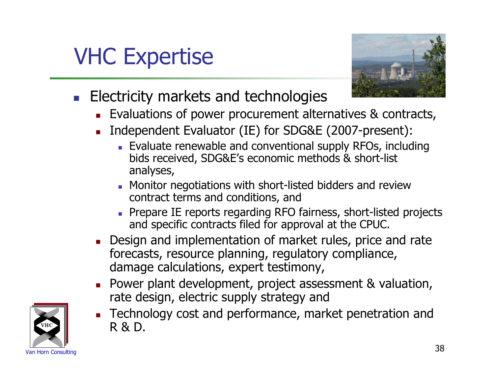# VHC Expertise



- **Electricity markets and technologies** 
	- Evaluations of power procurement alternatives & contracts,
	- Independent Evaluator (IE) for SDG&E (2007-present):
		- Evaluate renewable and conventional supply RFOs, including bids received, SDG&E's economic methods & short-list analyses,
		- **Monitor negotiations with short-listed bidders and review** contract terms and conditions, and
		- **Prepare IE reports regarding RFO fairness, short-listed projects** and specific contracts filed for approval at the CPUC.
	- Design and implementation of market rules, price and rate forecasts, resource planning, regulatory compliance, damage calculations, expert testimony,
	- **Power plant development, project assessment & valuation,** rate design, electric supply strategy and



**Technology cost and performance, market penetration and** R & D.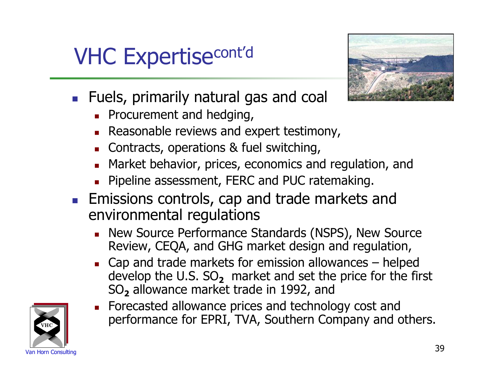# VHC Expertisecont'd



- **Fuels, primarily natural gas and coal** 
	- **Procurement and hedging,**
	- **Reasonable reviews and expert testimony,**
	- Contracts, operations & fuel switching,
	- **Market behavior, prices, economics and regulation, and**
	- **Pipeline assessment, FERC and PUC ratemaking.**
- **Emissions controls, cap and trade markets and** environmental regulations
	- **New Source Performance Standards (NSPS), New Source I** Review, CEQA, and GHG market design and regulation,
	- Cap and trade markets for emission allowances helped develop the U.S. SO<sub>2</sub> market and set the price for the first SO**<sup>2</sup>** allowance market trade in 1992, and



**Forecasted allowance prices and technology cost and** performance for EPRI, TVA, Southern Company and others.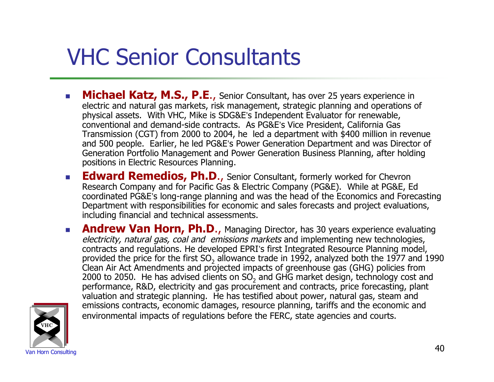### VHC Senior Consultants

- **Michael Katz, M.S., P.E.,** Senior Consultant, has over 25 years experience in electric and natural gas markets, risk management, strategic planning and operations of physical assets. With VHC, Mike is SDG&E's Independent Evaluator for renewable, conventional and demand-side contracts. As PG&E's Vice President, California Gas Transmission (CGT) from 2000 to 2004, he led a department with \$400 million in revenue and 500 people. Earlier, he led PG&E's Power Generation Department and was Director of Generation Portfolio Management and Power Generation Business Planning, after holding positions in Electric Resources Planning.
- **Edward Remedios, Ph.D., Senior Consultant, formerly worked for Chevron** Research Company and for Pacific Gas & Electric Company (PG&E). While at PG&E, Ed coordinated PG&E's long-range planning and was the head of the Economics and Forecasting Department with responsibilities for economic and sales forecasts and project evaluations, including financial and technical assessments.
- **Andrew Van Horn, Ph.D., Managing Director, has 30 years experience evaluating** electricity, natural gas, coal and emissions markets and implementing new technologies, contracts and regulations. He developed EPRI's first Integrated Resource Planning model, provided the price for the first  $SO_2$  allowance trade in 1992, analyzed both the 1977 and 1990 Clean Air Act Amendments and projected impacts of greenhouse gas (GHG) policies from 2000 to 2050. He has advised clients on  $SO_2$  and GHG market design, technology cost and performance, R&D, electricity and gas procurement and contracts, price forecasting, plant valuation and strategic planning. He has testified about power, natural gas, steam and emissions contracts, economic damages, resource planning, tariffs and the economic and environmental impacts of regulations before the FERC, state agencies and courts.